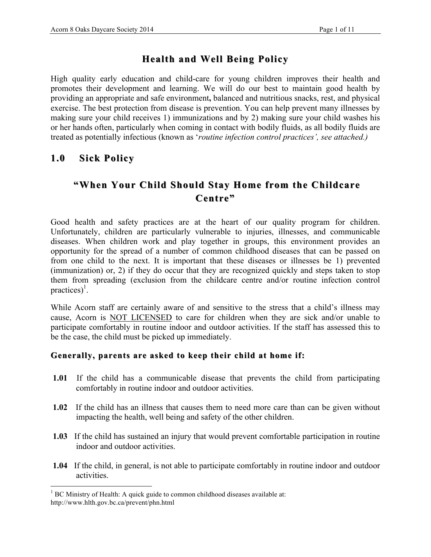## **Health and Well Being Health and Well Being Policy**

High quality early education and child-care for young children improves their health and promotes their development and learning. We will do our best to maintain good health by providing an appropriate and safe environment**,** balanced and nutritious snacks, rest, and physical exercise. The best protection from disease is prevention. You can help prevent many illnesses by making sure your child receives 1) immunizations and by 2) making sure your child washes his or her hands often, particularly when coming in contact with bodily fluids, as all bodily fluids are treated as potentially infectious (known as '*routine infection control practices', see attached.)*

### 1.0 **Sick Policy**

# **"When Your Child Should Stay Home from the Childcare" Centre"**

Good health and safety practices are at the heart of our quality program for children. Unfortunately, children are particularly vulnerable to injuries, illnesses, and communicable diseases. When children work and play together in groups, this environment provides an opportunity for the spread of a number of common childhood diseases that can be passed on from one child to the next. It is important that these diseases or illnesses be 1) prevented (immunization) or, 2) if they do occur that they are recognized quickly and steps taken to stop them from spreading (exclusion from the childcare centre and/or routine infection control practices)<sup>1</sup>.

While Acorn staff are certainly aware of and sensitive to the stress that a child's illness may cause, Acorn is NOT LICENSED to care for children when they are sick and/or unable to participate comfortably in routine indoor and outdoor activities. If the staff has assessed this to be the case, the child must be picked up immediately.

#### Generally, parents are asked to keep their child at home if:

- **1.01** If the child has a communicable disease that prevents the child from participating comfortably in routine indoor and outdoor activities.
- **1.02** If the child has an illness that causes them to need more care than can be given without impacting the health, well being and safety of the other children.
- **1.03** If the child has sustained an injury that would prevent comfortable participation in routine indoor and outdoor activities.
- **1.04** If the child, in general, is not able to participate comfortably in routine indoor and outdoor activities.

 $\frac{1}{1}$  $<sup>1</sup>$  BC Ministry of Health: A quick guide to common childhood diseases available at:</sup> http://www.hlth.gov.bc.ca/prevent/phn.html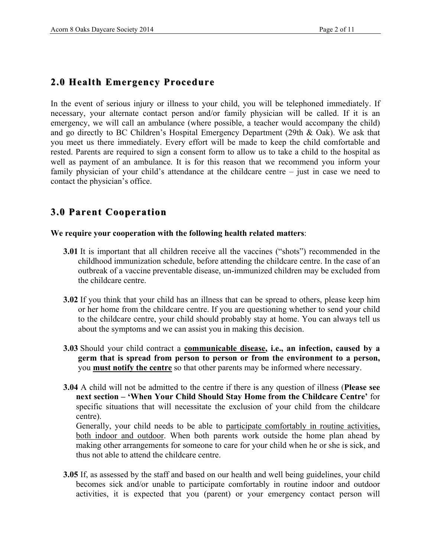## **2.0 Health Emergency Procedure Health Emergency Procedure**

In the event of serious injury or illness to your child, you will be telephoned immediately. If necessary, your alternate contact person and/or family physician will be called. If it is an emergency, we will call an ambulance (where possible, a teacher would accompany the child) and go directly to BC Children's Hospital Emergency Department (29th & Oak). We ask that you meet us there immediately. Every effort will be made to keep the child comfortable and rested. Parents are required to sign a consent form to allow us to take a child to the hospital as well as payment of an ambulance. It is for this reason that we recommend you inform your family physician of your child's attendance at the childcare centre – just in case we need to contact the physician's office.

## **3.0 Parent Cooperation Parent Cooperation**

#### **We require your cooperation with the following health related matters**:

- **3.01** It is important that all children receive all the vaccines ("shots") recommended in the childhood immunization schedule, before attending the childcare centre. In the case of an outbreak of a vaccine preventable disease, un-immunized children may be excluded from the childcare centre.
- **3.02** If you think that your child has an illness that can be spread to others, please keep him or her home from the childcare centre. If you are questioning whether to send your child to the childcare centre, your child should probably stay at home. You can always tell us about the symptoms and we can assist you in making this decision.
- **3.03** Should your child contract a **communicable disease, i.e., an infection, caused by a germ that is spread from person to person or from the environment to a person,** you **must notify the centre** so that other parents may be informed where necessary.
- **3.04** A child will not be admitted to the centre if there is any question of illness (**Please see next section – 'When Your Child Should Stay Home from the Childcare Centre'** for specific situations that will necessitate the exclusion of your child from the childcare centre).

Generally, your child needs to be able to participate comfortably in routine activities, both indoor and outdoor. When both parents work outside the home plan ahead by making other arrangements for someone to care for your child when he or she is sick, and thus not able to attend the childcare centre.

**3.05** If, as assessed by the staff and based on our health and well being guidelines, your child becomes sick and/or unable to participate comfortably in routine indoor and outdoor activities, it is expected that you (parent) or your emergency contact person will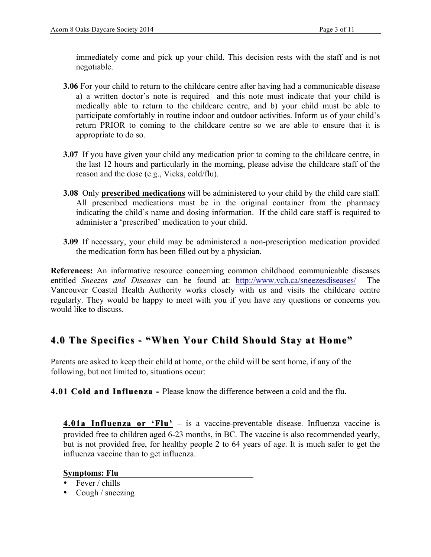immediately come and pick up your child. This decision rests with the staff and is not negotiable.

- **3.06** For your child to return to the childcare centre after having had a communicable disease a) a written doctor's note is required and this note must indicate that your child is medically able to return to the childcare centre, and b) your child must be able to participate comfortably in routine indoor and outdoor activities. Inform us of your child's return PRIOR to coming to the childcare centre so we are able to ensure that it is appropriate to do so.
- **3.07** If you have given your child any medication prior to coming to the childcare centre, in the last 12 hours and particularly in the morning, please advise the childcare staff of the reason and the dose (e.g., Vicks, cold/flu).
- **3.08** Only **prescribed medications** will be administered to your child by the child care staff. All prescribed medications must be in the original container from the pharmacy indicating the child's name and dosing information. If the child care staff is required to administer a 'prescribed' medication to your child.
- **3.09** If necessary, your child may be administered a non-prescription medication provided the medication form has been filled out by a physician.

**References:** An informative resource concerning common childhood communicable diseases entitled *Sneezes and Diseases* can be found at: http://www.vch.ca/sneezesdiseases/ Vancouver Coastal Health Authority works closely with us and visits the childcare centre regularly. They would be happy to meet with you if you have any questions or concerns you would like to discuss.

## **4.0 The Specifics - "When Your Child Should Stay at Home"**

Parents are asked to keep their child at home, or the child will be sent home, if any of the following, but not limited to, situations occur:

**4.01 Cold and Influenza 4.01 Cold and Influenza -** Please know the difference between a cold and the flu.

**4.01a Influenza or 'Flu'** – is a vaccine-preventable disease. Influenza vaccine is provided free to children aged 6-23 months, in BC. The vaccine is also recommended yearly, but is not provided free, for healthy people 2 to 64 years of age. It is much safer to get the influenza vaccine than to get influenza.

#### **Symptoms: Flu**

- Fever / chills
- Cough / sneezing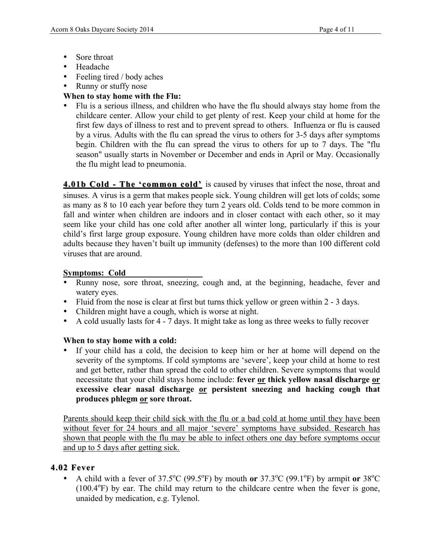- Sore throat
- Headache
- Feeling tired / body aches
- Runny or stuffy nose

### **When to stay home with the Flu:**

• Flu is a serious illness, and children who have the flu should always stay home from the childcare center. Allow your child to get plenty of rest. Keep your child at home for the first few days of illness to rest and to prevent spread to others. Influenza or flu is caused by a virus. Adults with the flu can spread the virus to others for 3-5 days after symptoms begin. Children with the flu can spread the virus to others for up to 7 days. The "flu season" usually starts in November or December and ends in April or May. Occasionally the flu might lead to pneumonia.

**4.01b Cold - The 'common cold'** is caused by viruses that infect the nose, throat and sinuses. A virus is a germ that makes people sick. Young children will get lots of colds; some as many as 8 to 10 each year before they turn 2 years old. Colds tend to be more common in fall and winter when children are indoors and in closer contact with each other, so it may seem like your child has one cold after another all winter long, particularly if this is your child's first large group exposure. Young children have more colds than older children and adults because they haven't built up immunity (defenses) to the more than 100 different cold viruses that are around.

#### **Symptoms: Cold**

- Runny nose, sore throat, sneezing, cough and, at the beginning, headache, fever and watery eyes.
- Fluid from the nose is clear at first but turns thick yellow or green within 2 3 days.
- Children might have a cough, which is worse at night.
- A cold usually lasts for 4 7 days. It might take as long as three weeks to fully recover

#### **When to stay home with a cold:**

If your child has a cold, the decision to keep him or her at home will depend on the severity of the symptoms. If cold symptoms are 'severe', keep your child at home to rest and get better, rather than spread the cold to other children. Severe symptoms that would necessitate that your child stays home include: **fever or thick yellow nasal discharge or excessive clear nasal discharge or persistent sneezing and hacking cough that produces phlegm or sore throat.**

Parents should keep their child sick with the flu or a bad cold at home until they have been without fever for 24 hours and all major 'severe' symptoms have subsided. Research has shown that people with the flu may be able to infect others one day before symptoms occur and up to 5 days after getting sick.

### **4.02 Fever 4.02 Fever**

• A child with a fever of  $37.5^{\circ}C$  (99.5°F) by mouth **or**  $37.3^{\circ}C$  (99.1°F) by armpit **or**  $38^{\circ}C$ (100.4°F) by ear. The child may return to the childcare centre when the fever is gone, unaided by medication, e.g. Tylenol.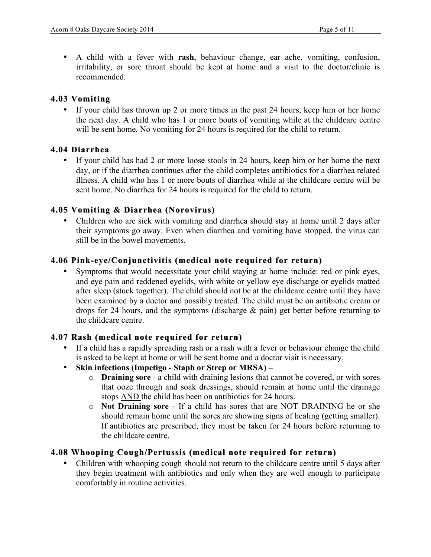• A child with a fever with **rash**, behaviour change, ear ache, vomiting, confusion, irritability, or sore throat should be kept at home and a visit to the doctor/clinic is recommended.

#### **4.03 Vomiting 4.03 Vomiting**

If your child has thrown up 2 or more times in the past 24 hours, keep him or her home the next day. A child who has 1 or more bouts of vomiting while at the childcare centre will be sent home. No vomiting for 24 hours is required for the child to return.

#### **4.04 Diarrhea 4.04 Diarrhea**

• If your child has had 2 or more loose stools in 24 hours, keep him or her home the next day, or if the diarrhea continues after the child completes antibiotics for a diarrhea related illness. A child who has 1 or more bouts of diarrhea while at the childcare centre will be sent home. No diarrhea for 24 hours is required for the child to return.

### **4.05 Vomiting & Diarrhea (Norovirus) 4.05 Vomiting & Diarrhea**

• Children who are sick with vomiting and diarrhea should stay at home until 2 days after their symptoms go away. Even when diarrhea and vomiting have stopped, the virus can still be in the bowel movements.

#### **4.06 Pink-eye/Conjunctivitis (medical note required for return)**

• Symptoms that would necessitate your child staying at home include: red or pink eyes, and eye pain and reddened eyelids, with white or yellow eye discharge or eyelids matted after sleep (stuck together). The child should not be at the childcare centre until they have been examined by a doctor and possibly treated. The child must be on antibiotic cream or drops for 24 hours, and the symptoms (discharge & pain) get better before returning to the childcare centre.

#### **4.07 Rash (medical note required for return) 4.07 Rash (medical note required for return)**

- If a child has a rapidly spreading rash or a rash with a fever or behaviour change the child is asked to be kept at home or will be sent home and a doctor visit is necessary.
- **Skin infections (Impetigo Staph or Strep or MRSA) –**
	- o **Draining sore** a child with draining lesions that cannot be covered, or with sores that ooze through and soak dressings, should remain at home until the drainage stops AND the child has been on antibiotics for 24 hours.
	- o **Not Draining sore**  If a child has sores that are NOT DRAINING he or she should remain home until the sores are showing signs of healing (getting smaller). If antibiotics are prescribed, they must be taken for 24 hours before returning to the childcare centre.

#### **4.08 Whooping Cough/Pertussis (medical note required for return) 4.08 Whooping Cough/Pertussis (medical note required for return)**

• Children with whooping cough should not return to the childcare centre until 5 days after they begin treatment with antibiotics and only when they are well enough to participate comfortably in routine activities.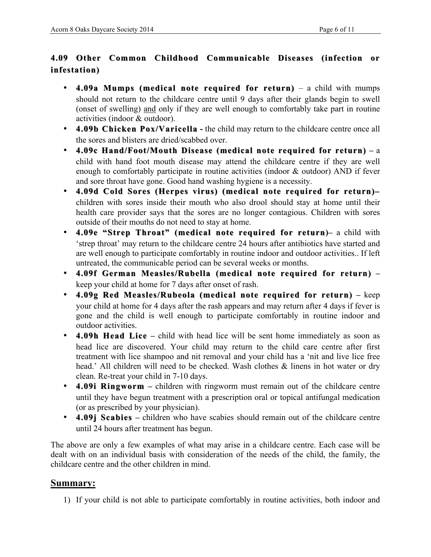## **4.09 Other Common Childhood Communicable Diseases (infection or 4.09 Other Common or infestation)**

- **4.09a Mumps (medical note required for return)** a child with mumps should not return to the childcare centre until 9 days after their glands begin to swell (onset of swelling) and only if they are well enough to comfortably take part in routine activities (indoor & outdoor).
- **4.09b Chicken Pox/Varicella Pox/Varicella -** the child may return to the childcare centre once all the sores and blisters are dried/scabbed over.
- **4.09c Hand/Foot/Mouth Disease (medical note required for return) 4.09c Hand/Foot/Mouth Disease (medical note required for return) –** a child with hand foot mouth disease may attend the childcare centre if they are well enough to comfortably participate in routine activities (indoor & outdoor) AND if fever and sore throat have gone. Good hand washing hygiene is a necessity.
- **4.09d Cold Sores (Herpes virus) (medical note required for return) 4.09d Cold Sores (Herpes virus) (medical note required for return)–** children with sores inside their mouth who also drool should stay at home until their health care provider says that the sores are no longer contagious. Children with sores outside of their mouths do not need to stay at home.
- **4.09e "Strep Throat" (medical note required for return)–** a child with 'strep throat' may return to the childcare centre 24 hours after antibiotics have started and are well enough to participate comfortably in routine indoor and outdoor activities.. If left untreated, the communicable period can be several weeks or months.
- 4.09f German Measles/Rubella (medical note required for return) keep your child at home for 7 days after onset of rash.
- **4.09g Red Measles/Rubeola (medical note required for return) 4.09g Red Measles/Rubeola (medical note required for return) –** keep your child at home for 4 days after the rash appears and may return after 4 days if fever is gone and the child is well enough to participate comfortably in routine indoor and outdoor activities.
- **4.09h Head Lice** child with head lice will be sent home immediately as soon as head lice are discovered. Your child may return to the child care centre after first treatment with lice shampoo and nit removal and your child has a 'nit and live lice free head.' All children will need to be checked. Wash clothes & linens in hot water or dry clean. Re-treat your child in 7-10 days.
- **4.09i Ringworm –** children with ringworm must remain out of the childcare centre until they have begun treatment with a prescription oral or topical antifungal medication (or as prescribed by your physician).
- **4.09j Scabies 4.09j Scabies–** children who have scabies should remain out of the childcare centre until 24 hours after treatment has begun.

The above are only a few examples of what may arise in a childcare centre. Each case will be dealt with on an individual basis with consideration of the needs of the child, the family, the childcare centre and the other children in mind.

### **Summary:**

1) If your child is not able to participate comfortably in routine activities, both indoor and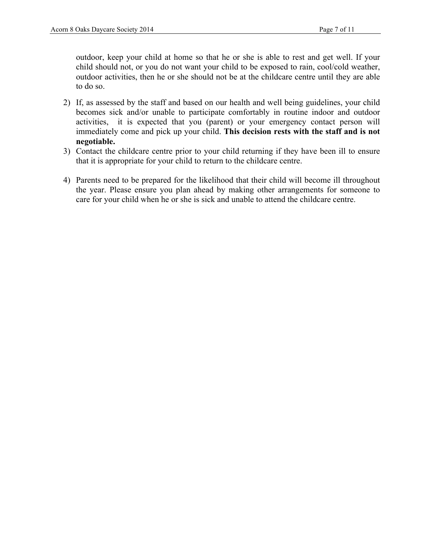outdoor, keep your child at home so that he or she is able to rest and get well. If your child should not, or you do not want your child to be exposed to rain, cool/cold weather, outdoor activities, then he or she should not be at the childcare centre until they are able to do so.

- 2) If, as assessed by the staff and based on our health and well being guidelines, your child becomes sick and/or unable to participate comfortably in routine indoor and outdoor activities, it is expected that you (parent) or your emergency contact person will immediately come and pick up your child. **This decision rests with the staff and is not negotiable.**
- 3) Contact the childcare centre prior to your child returning if they have been ill to ensure that it is appropriate for your child to return to the childcare centre.
- 4) Parents need to be prepared for the likelihood that their child will become ill throughout the year. Please ensure you plan ahead by making other arrangements for someone to care for your child when he or she is sick and unable to attend the childcare centre.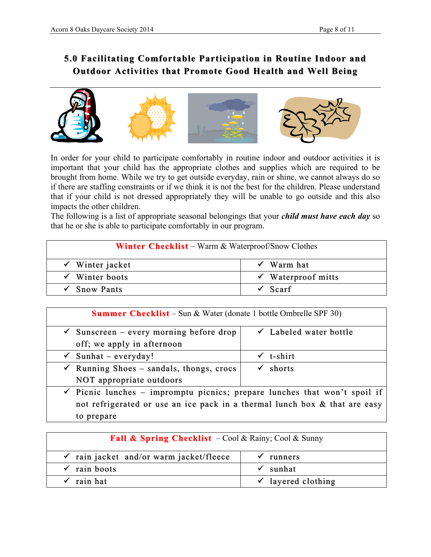# **5.0 Facilitating Comfortable Participation in Routine Indoor and 5.0 Participation in Routine Indoor and Outdoor Activities that Promote Good Health and Well Being**



In order for your child to participate comfortably in routine indoor and outdoor activities it is important that your child has the appropriate clothes and supplies which are required to be brought from home. While we try to get outside everyday, rain or shine, we cannot always do so if there are staffing constraints or if we think it is not the best for the children. Please understand that if your child is not dressed appropriately they will be unable to go outside and this also impacts the other children.

The following is a list of appropriate seasonal belongings that your *child must have each day* so that he or she is able to participate comfortably in our program.

| <b>Winter Checklist</b> – Warm & Waterproof/Snow Clothes |                               |  |  |  |
|----------------------------------------------------------|-------------------------------|--|--|--|
| $\checkmark$ Winter jacket                               | $\checkmark$ Warm hat         |  |  |  |
| $\checkmark$ Winter boots                                | $\checkmark$ Waterproof mitts |  |  |  |
| $\checkmark$ Snow Pants                                  | <sup>'</sup> Scarf            |  |  |  |

| <b>Summer Checklist</b> – Sun & Water (donate 1 bottle Ombrelle SPF 30)              |  |                                   |  |  |  |
|--------------------------------------------------------------------------------------|--|-----------------------------------|--|--|--|
| $\checkmark$ Sunscreen – every morning before drop                                   |  | $\checkmark$ Labeled water bottle |  |  |  |
| off; we apply in afternoon                                                           |  |                                   |  |  |  |
| $\checkmark$ Sunhat – everyday!                                                      |  | $\checkmark$ t-shirt              |  |  |  |
| $\checkmark$ Running Shoes – sandals, thongs, crocs                                  |  | $\checkmark$ shorts               |  |  |  |
| NOT appropriate outdoors                                                             |  |                                   |  |  |  |
| $\checkmark$ Picnic lunches – impromptu picnics; prepare lunches that won't spoil if |  |                                   |  |  |  |
| not refrigerated or use an ice pack in a thermal lunch box & that are easy           |  |                                   |  |  |  |
| to prepare                                                                           |  |                                   |  |  |  |

| <b>Fall &amp; Spring Checklist</b> $-\text{Cool} \&$ Rainy; Cool & Sunny |                               |  |  |  |
|--------------------------------------------------------------------------|-------------------------------|--|--|--|
| $\checkmark$ rain jacket and/or warm jacket/fleece                       | runners                       |  |  |  |
| $\checkmark$ rain boots                                                  | $\checkmark$ sunhat           |  |  |  |
| $\checkmark$ rain hat                                                    | $\checkmark$ layered clothing |  |  |  |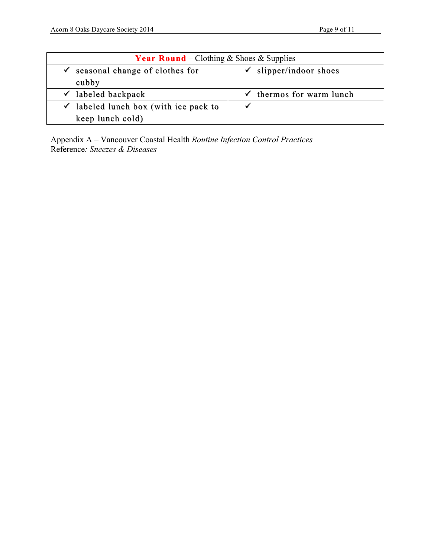| <b>Year Round</b> – Clothing & Shoes & Supplies  |                                     |  |  |  |
|--------------------------------------------------|-------------------------------------|--|--|--|
| seasonal change of clothes for<br>✓              | $\checkmark$ slipper/indoor shoes   |  |  |  |
| cubby                                            |                                     |  |  |  |
| $\checkmark$ labeled backpack                    | $\checkmark$ thermos for warm lunch |  |  |  |
| $\checkmark$ labeled lunch box (with ice pack to |                                     |  |  |  |
| keep lunch cold)                                 |                                     |  |  |  |

Appendix A – Vancouver Coastal Health *Routine Infection Control Practices* Reference*: Sneezes & Diseases*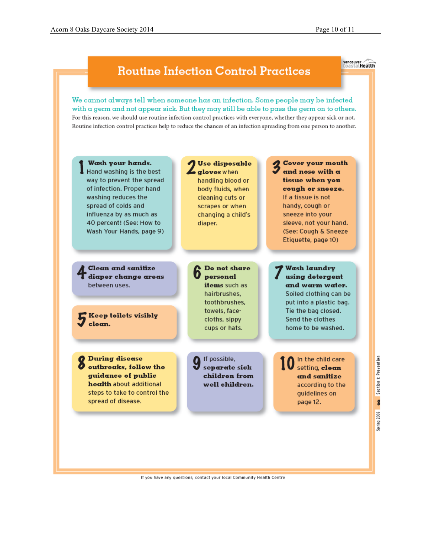**Vancouver**<br>CoastalHealth

# **Routine Infection Control Practices**

We cannot always tell when someone has an infection. Some people may be infected with a germ and not appear sick. But they may still be able to pass the germ on to others. For this reason, we should use routine infection control practices with everyone, whether they appear sick or not. Routine infection control practices help to reduce the chances of an infection spreading from one person to another.



If you have any questions, contact your local Community Health Centre